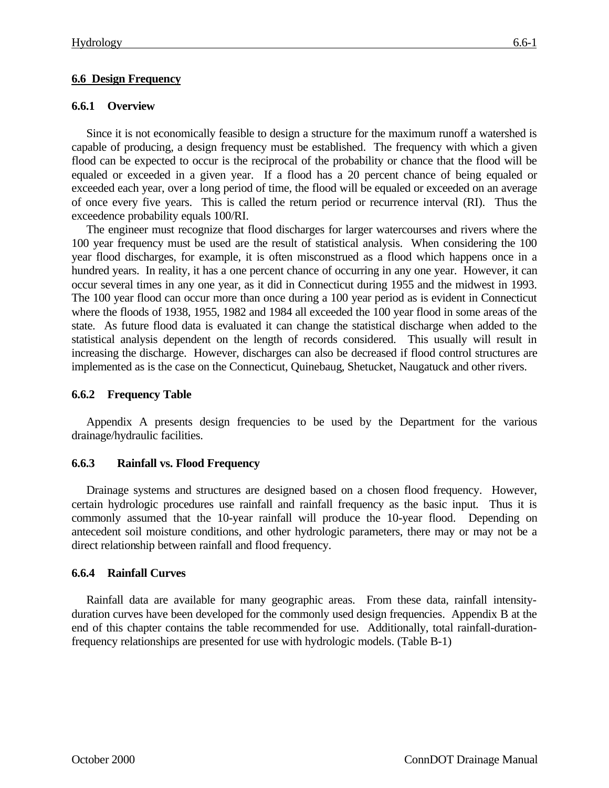# **6.6 Design Frequency**

# **6.6.1 Overview**

Since it is not economically feasible to design a structure for the maximum runoff a watershed is capable of producing, a design frequency must be established. The frequency with which a given flood can be expected to occur is the reciprocal of the probability or chance that the flood will be equaled or exceeded in a given year. If a flood has a 20 percent chance of being equaled or exceeded each year, over a long period of time, the flood will be equaled or exceeded on an average of once every five years. This is called the return period or recurrence interval (RI). Thus the exceedence probability equals 100/RI.

The engineer must recognize that flood discharges for larger watercourses and rivers where the 100 year frequency must be used are the result of statistical analysis. When considering the 100 year flood discharges, for example, it is often misconstrued as a flood which happens once in a hundred years. In reality, it has a one percent chance of occurring in any one year. However, it can occur several times in any one year, as it did in Connecticut during 1955 and the midwest in 1993. The 100 year flood can occur more than once during a 100 year period as is evident in Connecticut where the floods of 1938, 1955, 1982 and 1984 all exceeded the 100 year flood in some areas of the state. As future flood data is evaluated it can change the statistical discharge when added to the statistical analysis dependent on the length of records considered. This usually will result in increasing the discharge. However, discharges can also be decreased if flood control structures are implemented as is the case on the Connecticut, Quinebaug, Shetucket, Naugatuck and other rivers.

# **6.6.2 Frequency Table**

Appendix A presents design frequencies to be used by the Department for the various drainage/hydraulic facilities.

# **6.6.3 Rainfall vs. Flood Frequency**

Drainage systems and structures are designed based on a chosen flood frequency. However, certain hydrologic procedures use rainfall and rainfall frequency as the basic input. Thus it is commonly assumed that the 10-year rainfall will produce the 10-year flood. Depending on antecedent soil moisture conditions, and other hydrologic parameters, there may or may not be a direct relationship between rainfall and flood frequency.

# **6.6.4 Rainfall Curves**

Rainfall data are available for many geographic areas. From these data, rainfall intensityduration curves have been developed for the commonly used design frequencies. Appendix B at the end of this chapter contains the table recommended for use. Additionally, total rainfall-durationfrequency relationships are presented for use with hydrologic models. (Table B-1)